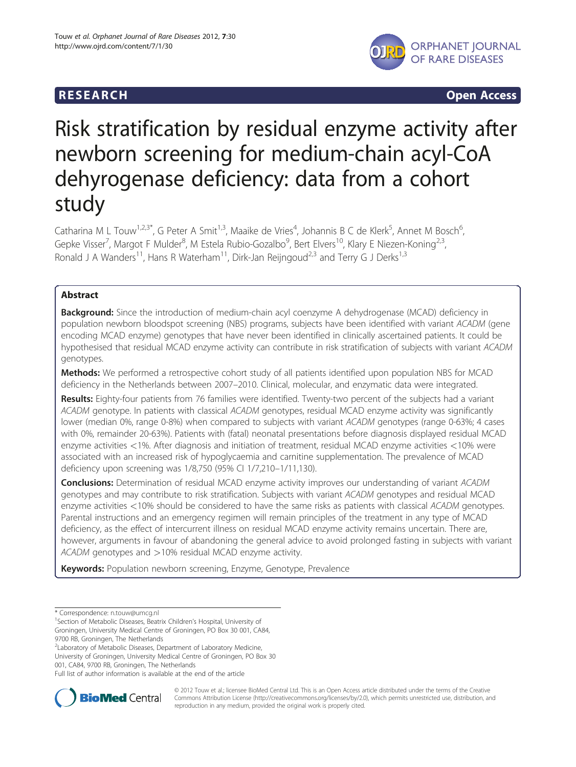

R E S EA RCH Open Access

# Risk stratification by residual enzyme activity after newborn screening for medium-chain acyl-CoA dehyrogenase deficiency: data from a cohort study

Catharina M L Touw<sup>1,2,3\*</sup>, G Peter A Smit<sup>1,3</sup>, Maaike de Vries<sup>4</sup>, Johannis B C de Klerk<sup>5</sup>, Annet M Bosch<sup>6</sup> י<br>, Gepke Visser<sup>7</sup>, Margot F Mulder<sup>8</sup>, M Estela Rubio-Gozalbo<sup>9</sup>, Bert Elvers<sup>10</sup>, Klary E Niezen-Koning<sup>2,3</sup>, Ronald J A Wanders<sup>11</sup>, Hans R Waterham<sup>11</sup>, Dirk-Jan Reijngoud<sup>2,3</sup> and Terry G J Derks<sup>1,3</sup>

# Abstract

Background: Since the introduction of medium-chain acyl coenzyme A dehydrogenase (MCAD) deficiency in population newborn bloodspot screening (NBS) programs, subjects have been identified with variant ACADM (gene encoding MCAD enzyme) genotypes that have never been identified in clinically ascertained patients. It could be hypothesised that residual MCAD enzyme activity can contribute in risk stratification of subjects with variant ACADM genotypes.

**Methods:** We performed a retrospective cohort study of all patients identified upon population NBS for MCAD deficiency in the Netherlands between 2007–2010. Clinical, molecular, and enzymatic data were integrated.

Results: Eighty-four patients from 76 families were identified. Twenty-two percent of the subjects had a variant ACADM genotype. In patients with classical ACADM genotypes, residual MCAD enzyme activity was significantly lower (median 0%, range 0-8%) when compared to subjects with variant ACADM genotypes (range 0-63%; 4 cases with 0%, remainder 20-63%). Patients with (fatal) neonatal presentations before diagnosis displayed residual MCAD enzyme activities <1%. After diagnosis and initiation of treatment, residual MCAD enzyme activities <10% were associated with an increased risk of hypoglycaemia and carnitine supplementation. The prevalence of MCAD deficiency upon screening was 1/8,750 (95% CI 1/7,210–1/11,130).

**Conclusions:** Determination of residual MCAD enzyme activity improves our understanding of variant ACADM genotypes and may contribute to risk stratification. Subjects with variant ACADM genotypes and residual MCAD enzyme activities <10% should be considered to have the same risks as patients with classical ACADM genotypes. Parental instructions and an emergency regimen will remain principles of the treatment in any type of MCAD deficiency, as the effect of intercurrent illness on residual MCAD enzyme activity remains uncertain. There are, however, arguments in favour of abandoning the general advice to avoid prolonged fasting in subjects with variant ACADM genotypes and >10% residual MCAD enzyme activity.

Keywords: Population newborn screening, Enzyme, Genotype, Prevalence

<sup>2</sup> Laboratory of Metabolic Diseases, Department of Laboratory Medicine, University of Groningen, University Medical Centre of Groningen, PO Box 30 001, CA84, 9700 RB, Groningen, The Netherlands

Full list of author information is available at the end of the article



© 2012 Touw et al.; licensee BioMed Central Ltd. This is an Open Access article distributed under the terms of the Creative Commons Attribution License (http://creativecommons.org/licenses/by/2.0), which permits unrestricted use, distribution, and reproduction in any medium, provided the original work is properly cited.

<sup>\*</sup> Correspondence: [n.touw@umcg.nl](mailto:n.touw@umcg.nl) <sup>1</sup>

<sup>&</sup>lt;sup>1</sup> Section of Metabolic Diseases, Beatrix Children's Hospital, University of Groningen, University Medical Centre of Groningen, PO Box 30 001, CA84, 9700 RB, Groningen, The Netherlands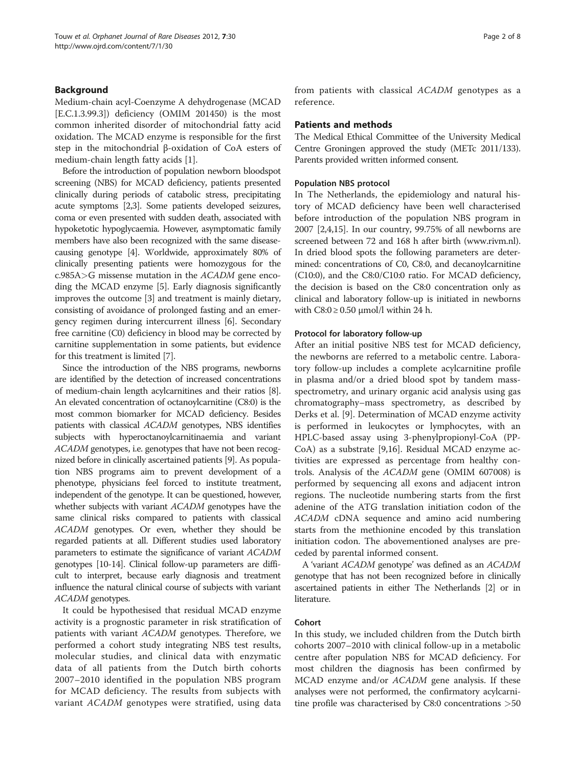# Background

Medium-chain acyl-Coenzyme A dehydrogenase (MCAD [E.C.1.3.99.3]) deficiency (OMIM 201450) is the most common inherited disorder of mitochondrial fatty acid oxidation. The MCAD enzyme is responsible for the first step in the mitochondrial β-oxidation of CoA esters of medium-chain length fatty acids [\[1](#page-6-0)].

Before the introduction of population newborn bloodspot screening (NBS) for MCAD deficiency, patients presented clinically during periods of catabolic stress, precipitating acute symptoms [\[2,3\]](#page-6-0). Some patients developed seizures, coma or even presented with sudden death, associated with hypoketotic hypoglycaemia. However, asymptomatic family members have also been recognized with the same diseasecausing genotype [[4](#page-6-0)]. Worldwide, approximately 80% of clinically presenting patients were homozygous for the c.985A>G missense mutation in the ACADM gene encoding the MCAD enzyme [\[5\]](#page-6-0). Early diagnosis significantly improves the outcome [\[3](#page-6-0)] and treatment is mainly dietary, consisting of avoidance of prolonged fasting and an emergency regimen during intercurrent illness [\[6\]](#page-6-0). Secondary free carnitine (C0) deficiency in blood may be corrected by carnitine supplementation in some patients, but evidence for this treatment is limited [[7](#page-6-0)].

Since the introduction of the NBS programs, newborns are identified by the detection of increased concentrations of medium-chain length acylcarnitines and their ratios [[8](#page-6-0)]. An elevated concentration of octanoylcarnitine (C8:0) is the most common biomarker for MCAD deficiency. Besides patients with classical ACADM genotypes, NBS identifies subjects with hyperoctanoylcarnitinaemia and variant ACADM genotypes, i.e. genotypes that have not been recognized before in clinically ascertained patients [\[9](#page-6-0)]. As population NBS programs aim to prevent development of a phenotype, physicians feel forced to institute treatment, independent of the genotype. It can be questioned, however, whether subjects with variant ACADM genotypes have the same clinical risks compared to patients with classical ACADM genotypes. Or even, whether they should be regarded patients at all. Different studies used laboratory parameters to estimate the significance of variant ACADM genotypes [[10-14\]](#page-6-0). Clinical follow-up parameters are difficult to interpret, because early diagnosis and treatment influence the natural clinical course of subjects with variant ACADM genotypes.

It could be hypothesised that residual MCAD enzyme activity is a prognostic parameter in risk stratification of patients with variant ACADM genotypes. Therefore, we performed a cohort study integrating NBS test results, molecular studies, and clinical data with enzymatic data of all patients from the Dutch birth cohorts 2007–2010 identified in the population NBS program for MCAD deficiency. The results from subjects with variant ACADM genotypes were stratified, using data from patients with classical ACADM genotypes as a reference.

#### Patients and methods

The Medical Ethical Committee of the University Medical Centre Groningen approved the study (METc 2011/133). Parents provided written informed consent.

#### Population NBS protocol

In The Netherlands, the epidemiology and natural history of MCAD deficiency have been well characterised before introduction of the population NBS program in 2007 [\[2,4,15\]](#page-6-0). In our country, 99.75% of all newborns are screened between 72 and 168 h after birth ([www.rivm.nl](http://www.rivm.nl)). In dried blood spots the following parameters are determined: concentrations of C0, C8:0, and decanoylcarnitine (C10:0), and the C8:0/C10:0 ratio. For MCAD deficiency, the decision is based on the C8:0 concentration only as clinical and laboratory follow-up is initiated in newborns with  $C8:0 \ge 0.50$   $\mu$ mol/l within 24 h.

#### Protocol for laboratory follow-up

After an initial positive NBS test for MCAD deficiency, the newborns are referred to a metabolic centre. Laboratory follow-up includes a complete acylcarnitine profile in plasma and/or a dried blood spot by tandem massspectrometry, and urinary organic acid analysis using gas chromatography–mass spectrometry, as described by Derks et al. [[9\]](#page-6-0). Determination of MCAD enzyme activity is performed in leukocytes or lymphocytes, with an HPLC-based assay using 3-phenylpropionyl-CoA (PP-CoA) as a substrate [\[9,16\]](#page-6-0). Residual MCAD enzyme activities are expressed as percentage from healthy controls. Analysis of the ACADM gene (OMIM 607008) is performed by sequencing all exons and adjacent intron regions. The nucleotide numbering starts from the first adenine of the ATG translation initiation codon of the ACADM cDNA sequence and amino acid numbering starts from the methionine encoded by this translation initiation codon. The abovementioned analyses are preceded by parental informed consent.

A 'variant ACADM genotype' was defined as an ACADM genotype that has not been recognized before in clinically ascertained patients in either The Netherlands [[2](#page-6-0)] or in literature.

# Cohort

In this study, we included children from the Dutch birth cohorts 2007–2010 with clinical follow-up in a metabolic centre after population NBS for MCAD deficiency. For most children the diagnosis has been confirmed by MCAD enzyme and/or ACADM gene analysis. If these analyses were not performed, the confirmatory acylcarnitine profile was characterised by C8:0 concentrations >50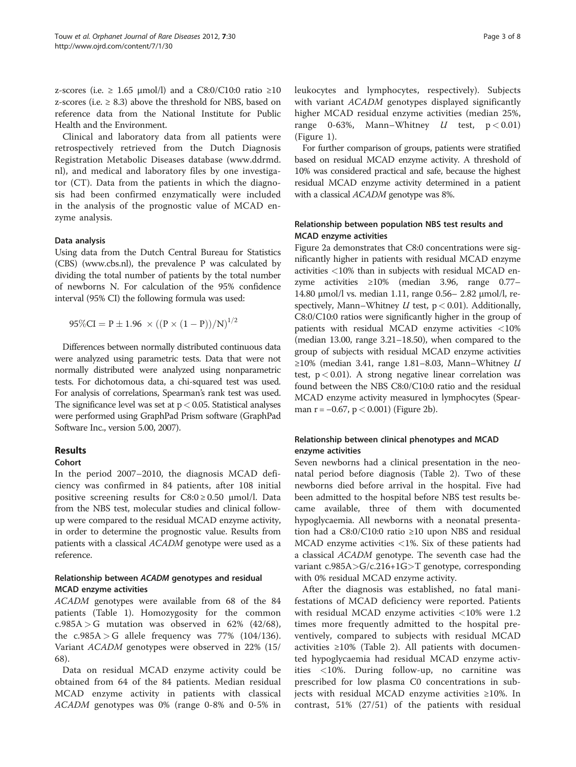z-scores (i.e.  $\geq 1.65$  µmol/l) and a C8:0/C10:0 ratio  $\geq 10$ z-scores (i.e.  $\geq$  8.3) above the threshold for NBS, based on reference data from the National Institute for Public Health and the Environment.

Clinical and laboratory data from all patients were retrospectively retrieved from the Dutch Diagnosis Registration Metabolic Diseases database ([www.ddrmd.](http://www.ddrmd.nl) [nl\)](http://www.ddrmd.nl), and medical and laboratory files by one investigator (CT). Data from the patients in which the diagnosis had been confirmed enzymatically were included in the analysis of the prognostic value of MCAD enzyme analysis.

#### Data analysis

Using data from the Dutch Central Bureau for Statistics (CBS) ([www.cbs.nl\)](http://www.cbs.nl), the prevalence P was calculated by dividing the total number of patients by the total number of newborns N. For calculation of the 95% confidence interval (95% CI) the following formula was used:

$$
95\%CI = P \pm 1.96 \times ((P \times (1 - P))/N)^{1/2}
$$

Differences between normally distributed continuous data were analyzed using parametric tests. Data that were not normally distributed were analyzed using nonparametric tests. For dichotomous data, a chi-squared test was used. For analysis of correlations, Spearman's rank test was used. The significance level was set at  $p < 0.05$ . Statistical analyses were performed using GraphPad Prism software (GraphPad Software Inc., version 5.00, 2007).

# Results

#### Cohort

In the period 2007–2010, the diagnosis MCAD deficiency was confirmed in 84 patients, after 108 initial positive screening results for  $C8:0 \ge 0.50$  µmol/l. Data from the NBS test, molecular studies and clinical followup were compared to the residual MCAD enzyme activity, in order to determine the prognostic value. Results from patients with a classical ACADM genotype were used as a reference.

# Relationship between ACADM genotypes and residual MCAD enzyme activities

ACADM genotypes were available from 68 of the 84 patients (Table [1](#page-3-0)). Homozygosity for the common c.985A > G mutation was observed in 62% (42/68), the  $c.985A > G$  allele frequency was 77% (104/136). Variant ACADM genotypes were observed in 22% (15/ 68).

Data on residual MCAD enzyme activity could be obtained from 64 of the 84 patients. Median residual MCAD enzyme activity in patients with classical ACADM genotypes was 0% (range 0-8% and 0-5% in leukocytes and lymphocytes, respectively). Subjects with variant ACADM genotypes displayed significantly higher MCAD residual enzyme activities (median 25%, range 0-63%, Mann–Whitney  $U$  test,  $p < 0.01$ ) (Figure [1\)](#page-3-0).

For further comparison of groups, patients were stratified based on residual MCAD enzyme activity. A threshold of 10% was considered practical and safe, because the highest residual MCAD enzyme activity determined in a patient with a classical ACADM genotype was 8%.

# Relationship between population NBS test results and MCAD enzyme activities

Figure [2a](#page-4-0) demonstrates that C8:0 concentrations were significantly higher in patients with residual MCAD enzyme activities <10% than in subjects with residual MCAD enzyme activities ≥10% (median 3.96, range 0.77– 14.80 μmol/l vs. median 1.11, range 0.56– 2.82 μmol/l, respectively, Mann–Whitney  $U$  test,  $p < 0.01$ ). Additionally, C8:0/C10:0 ratios were significantly higher in the group of patients with residual MCAD enzyme activities <10% (median 13.00, range 3.21–18.50), when compared to the group of subjects with residual MCAD enzyme activities ≥10% (median 3.41, range 1.81–8.03, Mann–Whitney  $U$ test,  $p < 0.01$ ). A strong negative linear correlation was found between the NBS C8:0/C10:0 ratio and the residual MCAD enzyme activity measured in lymphocytes (Spearman r =  $-0.67$ , p < 0.001) (Figure [2b](#page-4-0)).

# Relationship between clinical phenotypes and MCAD enzyme activities

Seven newborns had a clinical presentation in the neonatal period before diagnosis (Table [2](#page-4-0)). Two of these newborns died before arrival in the hospital. Five had been admitted to the hospital before NBS test results became available, three of them with documented hypoglycaemia. All newborns with a neonatal presentation had a C8:0/C10:0 ratio ≥10 upon NBS and residual MCAD enzyme activities <1%. Six of these patients had a classical ACADM genotype. The seventh case had the variant c.985A>G/c.216+1G>T genotype, corresponding with 0% residual MCAD enzyme activity.

After the diagnosis was established, no fatal manifestations of MCAD deficiency were reported. Patients with residual MCAD enzyme activities <10% were 1.2 times more frequently admitted to the hospital preventively, compared to subjects with residual MCAD activities  $\geq 10\%$  (Table [2\)](#page-4-0). All patients with documented hypoglycaemia had residual MCAD enzyme activities <10%. During follow-up, no carnitine was prescribed for low plasma C0 concentrations in subjects with residual MCAD enzyme activities ≥10%. In contrast, 51% (27/51) of the patients with residual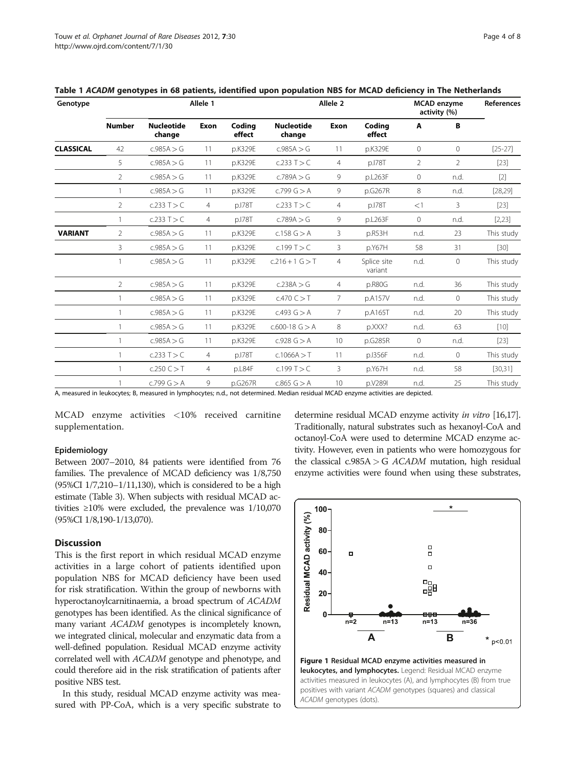| Genotype         | Allele 1       |                             |                |                  | Allele <sub>2</sub>         |                |                        | <b>MCAD</b> enzyme<br>activity (%) |              | References |
|------------------|----------------|-----------------------------|----------------|------------------|-----------------------------|----------------|------------------------|------------------------------------|--------------|------------|
|                  | <b>Number</b>  | <b>Nucleotide</b><br>change | <b>Exon</b>    | Coding<br>effect | <b>Nucleotide</b><br>change | <b>Exon</b>    | Coding<br>effect       | Α                                  | B            |            |
| <b>CLASSICAL</b> | 42             | c.985A > G                  | 11             | p.K329E          | c.985A > G                  | 11             | p.K329E                | $\circ$                            | $\mathbf{0}$ | $[25-27]$  |
|                  | 5              | c.985A > G                  | 11             | p.K329E          | c.233 T > C                 | $\overline{4}$ | p.178T                 | $\overline{2}$                     | 2            | $[23]$     |
|                  | 2              | c.985A > G                  | 11             | p.K329E          | c.789A > G                  | 9              | p.L263F                | $\circ$                            | n.d.         | $[2]$      |
|                  | 1              | c.985A > G                  | 11             | p.K329E          | c.799 $G > A$               | 9              | p.G267R                | 8                                  | n.d.         | [28, 29]   |
|                  | $\overline{2}$ | c.233 T > C                 | 4              | p.178T           | c.233 T > C                 | $\overline{4}$ | p.178T                 | <1                                 | 3            | $[23]$     |
|                  |                | c.233 T > C                 | 4              | p.178T           | c.789A > G                  | 9              | p.L263F                | $\circ$                            | n.d.         | [2, 23]    |
| <b>VARIANT</b>   | $\overline{2}$ | c.985A > G                  | 11             | p.K329E          | c.158 $G > A$               | 3              | p.R53H                 | n.d.                               | 23           | This study |
|                  | 3              | c.985A > G                  | 11             | p.K329E          | c.199 T > C                 | 3              | p.Y67H                 | 58                                 | 31           | $[30]$     |
|                  |                | c.985A > G                  | 11             | p.K329E          | $c.216 + 1$ G $>$ T         | $\overline{4}$ | Splice site<br>variant | n.d.                               | $\mathbf{0}$ | This study |
|                  | $\overline{2}$ | c.985A > G                  | 11             | p.K329E          | c.238A > G                  | $\overline{4}$ | p.R80G                 | n.d.                               | 36           | This study |
|                  | $\mathbf{1}$   | c.985A > G                  | 11             | p.K329E          | $c.470$ C $>$ T             | 7              | p.A157V                | n.d.                               | $\circ$      | This study |
|                  |                | c.985A > G                  | 11             | p.K329E          | C.493 G > A                 | 7              | p.A165T                | n.d.                               | 20           | This study |
|                  |                | c.985A > G                  | 11             | p.K329E          | $c.600-18$ G $> A$          | 8              | p.XXX?                 | n.d.                               | 63           | $[10]$     |
|                  |                | c.985A > G                  | 11             | p.K329E          | c.928 G > A                 | 10             | p.G285R                | $\mathbf 0$                        | n.d.         | $[23]$     |
|                  |                | c.233 T > C                 | $\overline{4}$ | p.178T           | c.1066A > T                 | 11             | p.1356F                | n.d.                               | $\mathbf{0}$ | This study |
|                  | $\mathbf{1}$   | $c.250$ C $>$ T             | 4              | p.L84F           | c.199T > C                  | 3              | p.Y67H                 | n.d.                               | 58           | [30, 31]   |
|                  |                | c.799 G > A                 | 9              | p.G267R          | $c.865$ G $> A$             | 10             | p.V289I                | n.d.                               | 25           | This study |

<span id="page-3-0"></span>Table 1 ACADM genotypes in 68 patients, identified upon population NBS for MCAD deficiency in The Netherlands

A, measured in leukocytes; B, measured in lymphocytes; n.d., not determined. Median residual MCAD enzyme activities are depicted.

MCAD enzyme activities <10% received carnitine supplementation.

#### Epidemiology

Between 2007–2010, 84 patients were identified from 76 families. The prevalence of MCAD deficiency was 1/8,750  $(95\%CI\ 1/7,210-1/11,130)$ , which is considered to be a high estimate (Table [3\)](#page-4-0). When subjects with residual MCAD activities ≥10% were excluded, the prevalence was 1/10,070 (95%CI 1/8,190-1/13,070).

# **Discussion**

This is the first report in which residual MCAD enzyme activities in a large cohort of patients identified upon population NBS for MCAD deficiency have been used for risk stratification. Within the group of newborns with hyperoctanoylcarnitinaemia, a broad spectrum of ACADM genotypes has been identified. As the clinical significance of many variant ACADM genotypes is incompletely known, we integrated clinical, molecular and enzymatic data from a well-defined population. Residual MCAD enzyme activity correlated well with ACADM genotype and phenotype, and could therefore aid in the risk stratification of patients after positive NBS test.

In this study, residual MCAD enzyme activity was measured with PP-CoA, which is a very specific substrate to

determine residual MCAD enzyme activity in vitro [[16,17](#page-6-0)]. Traditionally, natural substrates such as hexanoyl-CoA and octanoyl-CoA were used to determine MCAD enzyme activity. However, even in patients who were homozygous for the classical  $c.985A > G$  ACADM mutation, high residual enzyme activities were found when using these substrates,

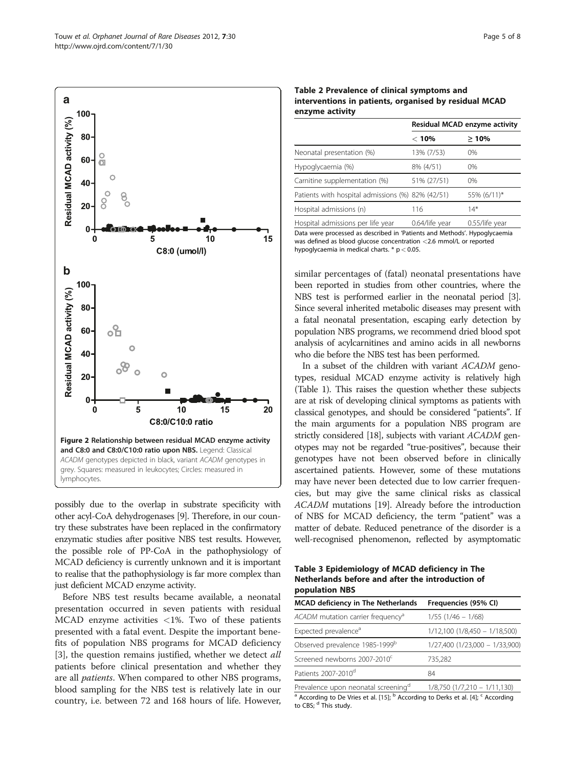<span id="page-4-0"></span>

possibly due to the overlap in substrate specificity with other acyl-CoA dehydrogenases [\[9\]](#page-6-0). Therefore, in our country these substrates have been replaced in the confirmatory enzymatic studies after positive NBS test results. However, the possible role of PP-CoA in the pathophysiology of MCAD deficiency is currently unknown and it is important to realise that the pathophysiology is far more complex than just deficient MCAD enzyme activity.

Before NBS test results became available, a neonatal presentation occurred in seven patients with residual MCAD enzyme activities <1%. Two of these patients presented with a fatal event. Despite the important benefits of population NBS programs for MCAD deficiency [[3\]](#page-6-0), the question remains justified, whether we detect all patients before clinical presentation and whether they are all *patients*. When compared to other NBS programs, blood sampling for the NBS test is relatively late in our country, i.e. between 72 and 168 hours of life. However,

#### Table 2 Prevalence of clinical symptoms and interventions in patients, organised by residual MCAD enzyme activity

|                                                   | Residual MCAD enzyme activity |             |  |
|---------------------------------------------------|-------------------------------|-------------|--|
|                                                   | $<$ 10%                       | >10%        |  |
| Neonatal presentation (%)                         | 13% (7/53)                    | 0%          |  |
| Hypoglycaemia (%)                                 | 8% (4/51)                     | $0\%$       |  |
| Carnitine supplementation (%)                     | 51% (27/51)                   | $0\%$       |  |
| Patients with hospital admissions (%) 82% (42/51) |                               | 55% (6/11)* |  |
| Hospital admissions (n)                           | 116                           | 14*         |  |
|                                                   |                               |             |  |

Hospital admissions per life year 0.64/life year 0.55/life year Data were processed as described in 'Patients and Methods'. Hypoglycaemia was defined as blood glucose concentration <2.6 mmol/L or reported hypoglycaemia in medical charts. \* p < 0.05.

similar percentages of (fatal) neonatal presentations have been reported in studies from other countries, where the NBS test is performed earlier in the neonatal period [\[3](#page-6-0)]. Since several inherited metabolic diseases may present with a fatal neonatal presentation, escaping early detection by population NBS programs, we recommend dried blood spot analysis of acylcarnitines and amino acids in all newborns who die before the NBS test has been performed.

In a subset of the children with variant ACADM genotypes, residual MCAD enzyme activity is relatively high (Table [1\)](#page-3-0). This raises the question whether these subjects are at risk of developing clinical symptoms as patients with classical genotypes, and should be considered "patients". If the main arguments for a population NBS program are strictly considered [\[18](#page-6-0)], subjects with variant ACADM genotypes may not be regarded "true-positives", because their genotypes have not been observed before in clinically ascertained patients. However, some of these mutations may have never been detected due to low carrier frequencies, but may give the same clinical risks as classical ACADM mutations [[19](#page-6-0)]. Already before the introduction of NBS for MCAD deficiency, the term "patient" was a matter of debate. Reduced penetrance of the disorder is a well-recognised phenomenon, reflected by asymptomatic

Table 3 Epidemiology of MCAD deficiency in The Netherlands before and after the introduction of population NBS

| <b>MCAD deficiency in The Netherlands</b>      | Frequencies (95% CI)            |
|------------------------------------------------|---------------------------------|
| ACADM mutation carrier frequency <sup>a</sup>  | $1/55$ ( $1/46 - 1/68$ )        |
| Expected prevalence <sup>a</sup>               | $1/12,100$ (1/8,450 - 1/18,500) |
| Observed prevalence 1985-1999b                 | 1/27,400 (1/23,000 - 1/33,900)  |
| Screened newborns 2007-2010 <sup>c</sup>       | 735,282                         |
| Patients 2007-2010 <sup>d</sup>                | 84                              |
| Provalence upon poenatal coroning <sup>d</sup> | 1/0750 (1/7 210 1/11 120)       |

Prevalence upon neonatal screening "alta 1/8,750 (1/7,210 – 1/11,130) <sup>a</sup> According to De Vries et al. [[15\]](#page-6-0);  $<sup>b</sup>$  According to Derks et al. [\[4\]](#page-6-0);  $<sup>c</sup>$  According</sup></sup> to CBS; d This study.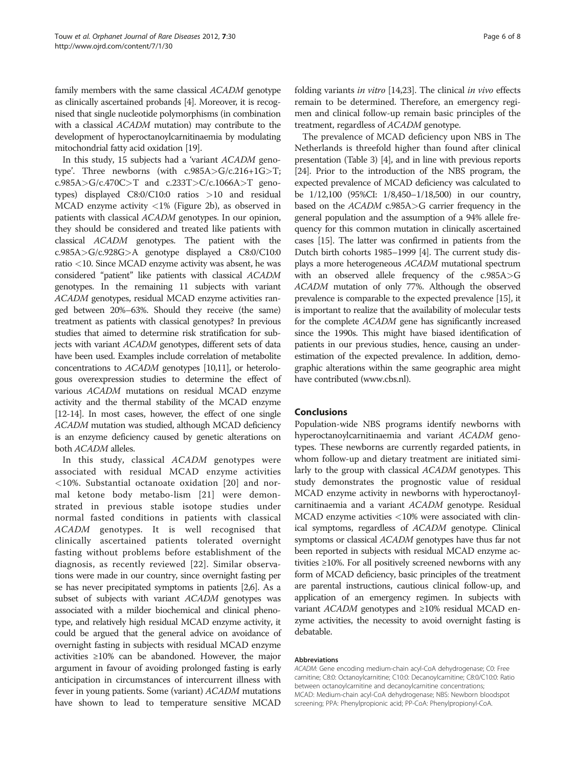family members with the same classical ACADM genotype as clinically ascertained probands [\[4\]](#page-6-0). Moreover, it is recognised that single nucleotide polymorphisms (in combination with a classical ACADM mutation) may contribute to the development of hyperoctanoylcarnitinaemia by modulating mitochondrial fatty acid oxidation [[19\]](#page-6-0).

In this study, 15 subjects had a 'variant ACADM genotype'. Three newborns (with c.985A>G/c.216+1G>T; c.985A>G/c.470C>T and c.233T>C/c.1066A>T genotypes) displayed C8:0/C10:0 ratios >10 and residual MCAD enzyme activity <1% (Figure [2b\)](#page-4-0), as observed in patients with classical ACADM genotypes. In our opinion, they should be considered and treated like patients with classical ACADM genotypes. The patient with the c.985A>G/c.928G>A genotype displayed a C8:0/C10:0 ratio <10. Since MCAD enzyme activity was absent, he was considered "patient" like patients with classical ACADM genotypes. In the remaining 11 subjects with variant ACADM genotypes, residual MCAD enzyme activities ranged between 20%–63%. Should they receive (the same) treatment as patients with classical genotypes? In previous studies that aimed to determine risk stratification for subjects with variant ACADM genotypes, different sets of data have been used. Examples include correlation of metabolite concentrations to ACADM genotypes [\[10,11](#page-6-0)], or heterologous overexpression studies to determine the effect of various ACADM mutations on residual MCAD enzyme activity and the thermal stability of the MCAD enzyme [[12-14\]](#page-6-0). In most cases, however, the effect of one single ACADM mutation was studied, although MCAD deficiency is an enzyme deficiency caused by genetic alterations on both ACADM alleles.

In this study, classical ACADM genotypes were associated with residual MCAD enzyme activities <10%. Substantial octanoate oxidation [[20](#page-6-0)] and normal ketone body metabo-lism [[21\]](#page-6-0) were demonstrated in previous stable isotope studies under normal fasted conditions in patients with classical ACADM genotypes. It is well recognised that clinically ascertained patients tolerated overnight fasting without problems before establishment of the diagnosis, as recently reviewed [[22](#page-7-0)]. Similar observations were made in our country, since overnight fasting per se has never precipitated symptoms in patients [\[2,6](#page-6-0)]. As a subset of subjects with variant ACADM genotypes was associated with a milder biochemical and clinical phenotype, and relatively high residual MCAD enzyme activity, it could be argued that the general advice on avoidance of overnight fasting in subjects with residual MCAD enzyme activities ≥10% can be abandoned. However, the major argument in favour of avoiding prolonged fasting is early anticipation in circumstances of intercurrent illness with fever in young patients. Some (variant) ACADM mutations have shown to lead to temperature sensitive MCAD folding variants in vitro [[14](#page-6-0)[,23\]](#page-7-0). The clinical in vivo effects remain to be determined. Therefore, an emergency regimen and clinical follow-up remain basic principles of the treatment, regardless of ACADM genotype.

The prevalence of MCAD deficiency upon NBS in The Netherlands is threefold higher than found after clinical presentation (Table [3\)](#page-4-0) [[4](#page-6-0)], and in line with previous reports [[24](#page-7-0)]. Prior to the introduction of the NBS program, the expected prevalence of MCAD deficiency was calculated to be 1/12,100 (95%CI: 1/8,450–1/18,500) in our country, based on the ACADM c.985A>G carrier frequency in the general population and the assumption of a 94% allele frequency for this common mutation in clinically ascertained cases [[15](#page-6-0)]. The latter was confirmed in patients from the Dutch birth cohorts 1985–1999 [\[4\]](#page-6-0). The current study displays a more heterogeneous ACADM mutational spectrum with an observed allele frequency of the c.985A>G ACADM mutation of only 77%. Although the observed prevalence is comparable to the expected prevalence [\[15](#page-6-0)], it is important to realize that the availability of molecular tests for the complete ACADM gene has significantly increased since the 1990s. This might have biased identification of patients in our previous studies, hence, causing an underestimation of the expected prevalence. In addition, demographic alterations within the same geographic area might have contributed [\(www.cbs.nl\)](http://www.cbs.nl).

# Conclusions

Population-wide NBS programs identify newborns with hyperoctanoylcarnitinaemia and variant ACADM genotypes. These newborns are currently regarded patients, in whom follow-up and dietary treatment are initiated similarly to the group with classical ACADM genotypes. This study demonstrates the prognostic value of residual MCAD enzyme activity in newborns with hyperoctanoylcarnitinaemia and a variant ACADM genotype. Residual MCAD enzyme activities <10% were associated with clinical symptoms, regardless of ACADM genotype. Clinical symptoms or classical ACADM genotypes have thus far not been reported in subjects with residual MCAD enzyme activities ≥10%. For all positively screened newborns with any form of MCAD deficiency, basic principles of the treatment are parental instructions, cautious clinical follow-up, and application of an emergency regimen. In subjects with variant ACADM genotypes and ≥10% residual MCAD enzyme activities, the necessity to avoid overnight fasting is debatable.

#### Abbreviations

ACADM: Gene encoding medium-chain acyl-CoA dehydrogenase; C0: Free carnitine; C8:0: Octanoylcarnitine; C10:0: Decanoylcarnitine; C8:0/C10:0: Ratio between octanoylcarnitine and decanoylcarnitine concentrations; MCAD: Medium-chain acyl-CoA dehydrogenase; NBS: Newborn bloodspot screening; PPA: Phenylpropionic acid; PP-CoA: Phenylpropionyl-CoA.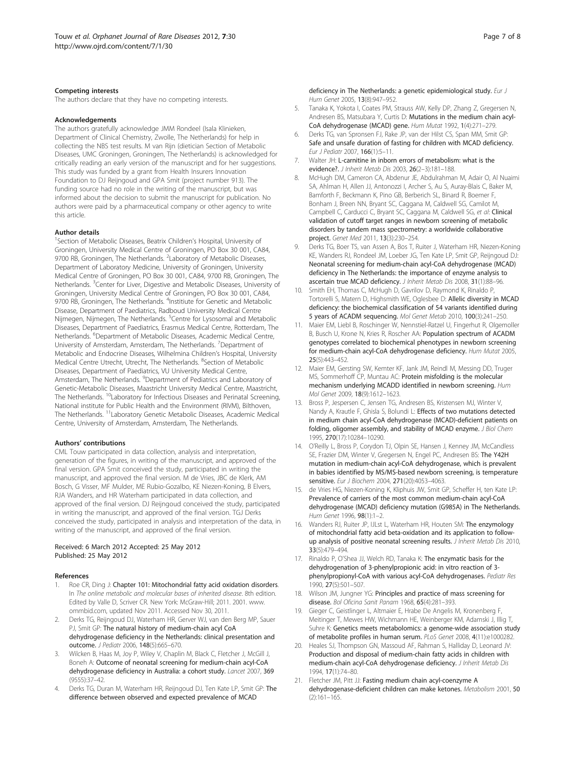#### <span id="page-6-0"></span>Competing interests

The authors declare that they have no competing interests.

#### Acknowledgements

The authors gratefully acknowledge JMM Rondeel (Isala Klinieken, Department of Clinical Chemistry, Zwolle, The Netherlands) for help in collecting the NBS test results. M van Rijn (dietician Section of Metabolic Diseases, UMC Groningen, Groningen, The Netherlands) is acknowledged for critically reading an early version of the manuscript and for her suggestions. This study was funded by a grant from Health Insurers Innovation Foundation to DJ Reijngoud and GPA Smit (project number 913). The funding source had no role in the writing of the manuscript, but was informed about the decision to submit the manuscript for publication. No authors were paid by a pharmaceutical company or other agency to write this article.

#### Author details

<sup>1</sup>Section of Metabolic Diseases, Beatrix Children's Hospital, University of Groningen, University Medical Centre of Groningen, PO Box 30 001, CA84, 9700 RB, Groningen, The Netherlands. <sup>2</sup>Laboratory of Metabolic Diseases, Department of Laboratory Medicine, University of Groningen, University Medical Centre of Groningen, PO Box 30 001, CA84, 9700 RB, Groningen, The Netherlands. <sup>3</sup>Center for Liver, Digestive and Metabolic Diseases, University of Groningen, University Medical Centre of Groningen, PO Box 30 001, CA84, 9700 RB, Groningen, The Netherlands. <sup>4</sup>Institiute for Genetic and Metabolic Disease, Department of Paediatrics, Radboud University Medical Centre Nijmegen, Nijmegen, The Netherlands. <sup>5</sup>Centre for Lysosomal and Metabolic Diseases, Department of Paediatrics, Erasmus Medical Centre, Rotterdam, The Netherlands. <sup>6</sup>Department of Metabolic Diseases, Academic Medical Centre, University of Amsterdam, Amsterdam, The Netherlands. <sup>7</sup>Department of Metabolic and Endocrine Diseases, Wilhelmina Children's Hospital, University Medical Centre Utrecht, Utrecht, The Netherlands. <sup>8</sup>Section of Metabolic Diseases, Department of Paediatrics, VU University Medical Centre, Amsterdam, The Netherlands. <sup>9</sup>Department of Pediatrics and Laboratory of Genetic-Metabolic Diseases, Maastricht University Medical Centre, Maastricht, The Netherlands. 10Laboratory for Infectious Diseases and Perinatal Screening, National institute for Public Health and the Environment (RIVM), Bilthoven, The Netherlands.<sup>11</sup>Laboratory Genetic Metabolic Diseases, Academic Medical Centre, University of Amsterdam, Amsterdam, The Netherlands.

#### Authors' contributions

CML Touw participated in data collection, analysis and interpretation, generation of the figures, in writing of the manuscript, and approved of the final version. GPA Smit conceived the study, participated in writing the manuscript, and approved the final version. M de Vries, JBC de Klerk, AM Bosch, G Visser, MF Mulder, ME Rubio-Gozalbo, KE Niezen-Koning, B Elvers, RJA Wanders, and HR Waterham participated in data collection, and approved of the final version. DJ Reijngoud conceived the study, participated in writing the manuscript, and approved of the final version. TGJ Derks conceived the study, participated in analysis and interpretation of the data, in writing of the manuscript, and approved of the final version.

#### Received: 6 March 2012 Accepted: 25 May 2012 Published: 25 May 2012

#### References

- 1. Roe CR, Ding J: Chapter 101: Mitochondrial fatty acid oxidation disorders. In The online metabolic and molecular bases of inherited disease. 8th edition. Edited by Valle D, Scriver CR. New York: McGraw-Hill; 2011. 2001. [www.](www.ommbid.com) [ommbid.com,](www.ommbid.com) updated Nov 2011. Accessed Nov 30, 2011.
- 2. Derks TG, Reijngoud DJ, Waterham HR, Gerver WJ, van den Berg MP, Sauer PJ, Smit GP: The natural history of medium-chain acyl CoA dehydrogenase deficiency in the Netherlands: clinical presentation and outcome. J Pediatr 2006, 148(5):665–670.
- Wilcken B, Haas M, Joy P, Wiley V, Chaplin M, Black C, Fletcher J, McGill J, Boneh A: Outcome of neonatal screening for medium-chain acyl-CoA dehydrogenase deficiency in Australia: a cohort study. Lancet 2007, 369 (9555):37–42.
- Derks TG, Duran M, Waterham HR, Reijngoud DJ, Ten Kate LP, Smit GP: The difference between observed and expected prevalence of MCAD

deficiency in The Netherlands: a genetic epidemiological study. Eur J Hum Genet 2005, 13(8):947–952.

- 5. Tanaka K, Yokota I, Coates PM, Strauss AW, Kelly DP, Zhang Z, Gregersen N, Andresen BS, Matsubara Y, Curtis D: Mutations in the medium chain acyl-CoA dehydrogenase (MCAD) gene. Hum Mutat 1992, 1(4):271–279.
- 6. Derks TG, van Spronsen FJ, Rake JP, van der Hilst CS, Span MM, Smit GP: Safe and unsafe duration of fasting for children with MCAD deficiency. Eur J Pediatr 2007, 166(1):5–11.
- 7. Walter JH: L-carnitine in inborn errors of metabolism: what is the evidence?. J Inherit Metab Dis 2003, 26(2–3):181–188.
- 8. McHugh DM, Cameron CA, Abdenur JE, Abdulrahman M, Adair O, Al Nuaimi SA, Ahlman H, Allen JJ, Antonozzi I, Archer S, Au S, Auray-Blais C, Baker M, Bamforth F, Beckmann K, Pino GB, Berberich SL, Binard R, Boemer F, Bonham J, Breen NN, Bryant SC, Caggana M, Caldwell SG, Camilot M, Campbell C, Carducci C, Bryant SC, Caggana M, Caldwell SG, et al: Clinical validation of cutoff target ranges in newborn screening of metabolic disorders by tandem mass spectrometry: a worldwide collaborative project. Genet Med 2011, 13(3):230–254.
- 9. Derks TG, Boer TS, van Assen A, Bos T, Ruiter J, Waterham HR, Niezen-Koning KE, Wanders RJ, Rondeel JM, Loeber JG, Ten Kate LP, Smit GP, Reijngoud DJ: Neonatal screening for medium-chain acyl-CoA dehydrogenase (MCAD) deficiency in The Netherlands: the importance of enzyme analysis to ascertain true MCAD deficiency. J Inherit Metab Dis 2008, 31(1):88–96.
- 10. Smith EH, Thomas C, McHugh D, Gavrilov D, Raymond K, Rinaldo P, Tortorelli S, Matern D, Highsmith WE, Oglesbee D: Allelic diversity in MCAD deficiency: the biochemical classification of 54 variants identified during 5 years of ACADM sequencing. Mol Genet Metab 2010, 100(3):241–250.
- 11. Maier EM, Liebl B, Roschinger W, Nennstiel-Ratzel U, Fingerhut R, Olgemoller B, Busch U, Krone N, Kries R, Roscher AA: Population spectrum of ACADM genotypes correlated to biochemical phenotypes in newborn screening for medium-chain acyl-CoA dehydrogenase deficiency. Hum Mutat 2005, 25(5):443–452.
- 12. Maier EM, Gersting SW, Kemter KF, Jank JM, Reindl M, Messing DD, Truger MS, Sommerhoff CP, Muntau AC: Protein misfolding is the molecular mechanism underlying MCADD identified in newborn screening. Hum Mol Genet 2009, 18(9):1612–1623.
- 13. Bross P, Jespersen C, Jensen TG, Andresen BS, Kristensen MJ, Winter V, Nandy A, Krautle F, Ghisla S, Bolundi L: Effects of two mutations detected in medium chain acyl-CoA dehydrogenase (MCAD)-deficient patients on folding, oligomer assembly, and stability of MCAD enzyme. J Biol Chem 1995, 270(17):10284–10290.
- 14. O'Reilly L, Bross P, Corydon TJ, Olpin SE, Hansen J, Kenney JM, McCandless SE, Frazier DM, Winter V, Gregersen N, Engel PC, Andresen BS: The Y42H mutation in medium-chain acyl-CoA dehydrogenase, which is prevalent in babies identified by MS/MS-based newborn screening, is temperature sensitive. Eur J Biochem 2004, 271(20):4053-4063.
- 15. de Vries HG, Niezen-Koning K, Kliphuis JW, Smit GP, Scheffer H, ten Kate LP: Prevalence of carriers of the most common medium-chain acyl-CoA dehydrogenase (MCAD) deficiency mutation (G985A) in The Netherlands. Hum Genet 1996, 98(1):1–2.
- 16. Wanders RJ, Ruiter JP, IJLst L, Waterham HR, Houten SM: The enzymology of mitochondrial fatty acid beta-oxidation and its application to followup analysis of positive neonatal screening results. J Inherit Metab Dis 2010, 33(5):479–494.
- 17. Rinaldo P, O'Shea JJ, Welch RD, Tanaka K: The enzymatic basis for the dehydrogenation of 3-phenylpropionic acid: in vitro reaction of 3 phenylpropionyl-CoA with various acyl-CoA dehydrogenases. Pediatr Res 1990, 27(5):501–507.
- 18. Wilson JM, Jungner YG: Principles and practice of mass screening for disease. Bol Oficina Sanit Panam 1968, 65(4):281–393.
- 19. Gieger C, Geistlinger L, Altmaier E, Hrabe De Angelis M, Kronenberg F, Meitinger T, Mewes HW, Wichmann HE, Weinberger KM, Adamski J, Illig T, Suhre K: Genetics meets metabolomics: a genome-wide association study of metabolite profiles in human serum. PLoS Genet 2008, 4(11):e1000282.
- 20. Heales SJ, Thompson GN, Massoud AF, Rahman S, Halliday D, Leonard JV: Production and disposal of medium-chain fatty acids in children with medium-chain acyl-CoA dehydrogenase deficiency. J Inherit Metab Dis 1994, 17(1):74–80.
- 21. Fletcher JM, Pitt JJ: Fasting medium chain acyl-coenzyme A dehydrogenase-deficient children can make ketones. Metabolism 2001, 50 (2):161–165.